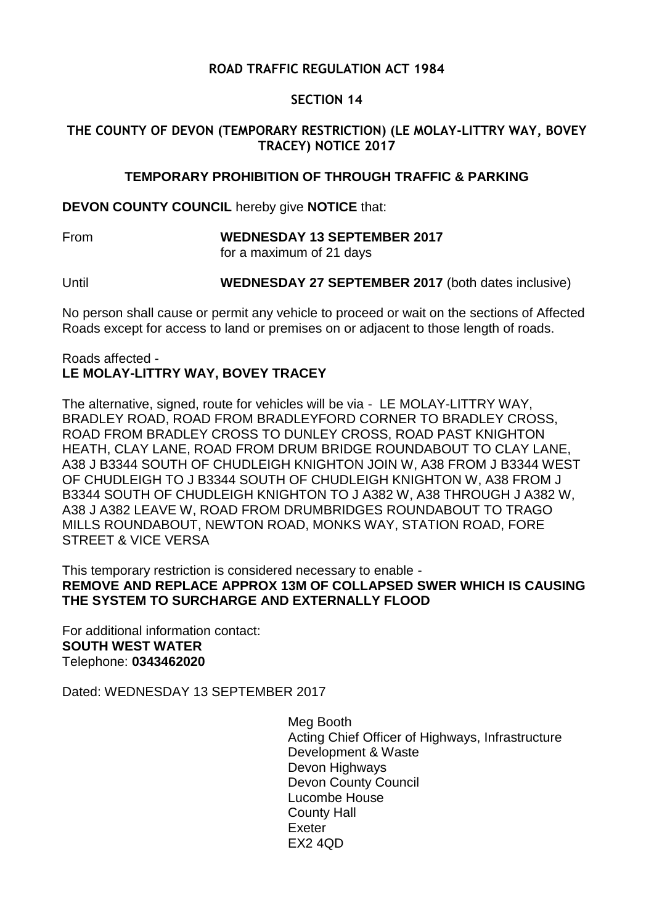# **ROAD TRAFFIC REGULATION ACT 1984**

## **SECTION 14**

## **THE COUNTY OF DEVON (TEMPORARY RESTRICTION) (LE MOLAY-LITTRY WAY, BOVEY TRACEY) NOTICE 2017**

## **TEMPORARY PROHIBITION OF THROUGH TRAFFIC & PARKING**

**DEVON COUNTY COUNCIL** hereby give **NOTICE** that:

From **WEDNESDAY 13 SEPTEMBER 2017** for a maximum of 21 days

Until **WEDNESDAY 27 SEPTEMBER 2017** (both dates inclusive)

No person shall cause or permit any vehicle to proceed or wait on the sections of Affected Roads except for access to land or premises on or adjacent to those length of roads.

#### Roads affected - **LE MOLAY-LITTRY WAY, BOVEY TRACEY**

The alternative, signed, route for vehicles will be via - LE MOLAY-LITTRY WAY, BRADLEY ROAD, ROAD FROM BRADLEYFORD CORNER TO BRADLEY CROSS, ROAD FROM BRADLEY CROSS TO DUNLEY CROSS, ROAD PAST KNIGHTON HEATH, CLAY LANE, ROAD FROM DRUM BRIDGE ROUNDABOUT TO CLAY LANE, A38 J B3344 SOUTH OF CHUDLEIGH KNIGHTON JOIN W, A38 FROM J B3344 WEST OF CHUDLEIGH TO J B3344 SOUTH OF CHUDLEIGH KNIGHTON W, A38 FROM J B3344 SOUTH OF CHUDLEIGH KNIGHTON TO J A382 W, A38 THROUGH J A382 W, A38 J A382 LEAVE W, ROAD FROM DRUMBRIDGES ROUNDABOUT TO TRAGO MILLS ROUNDABOUT, NEWTON ROAD, MONKS WAY, STATION ROAD, FORE STREET & VICE VERSA

#### This temporary restriction is considered necessary to enable - **REMOVE AND REPLACE APPROX 13M OF COLLAPSED SWER WHICH IS CAUSING THE SYSTEM TO SURCHARGE AND EXTERNALLY FLOOD**

For additional information contact: **SOUTH WEST WATER** Telephone: **0343462020**

Dated: WEDNESDAY 13 SEPTEMBER 2017

Meg Booth Acting Chief Officer of Highways, Infrastructure Development & Waste Devon Highways Devon County Council Lucombe House County Hall Exeter EX2 4QD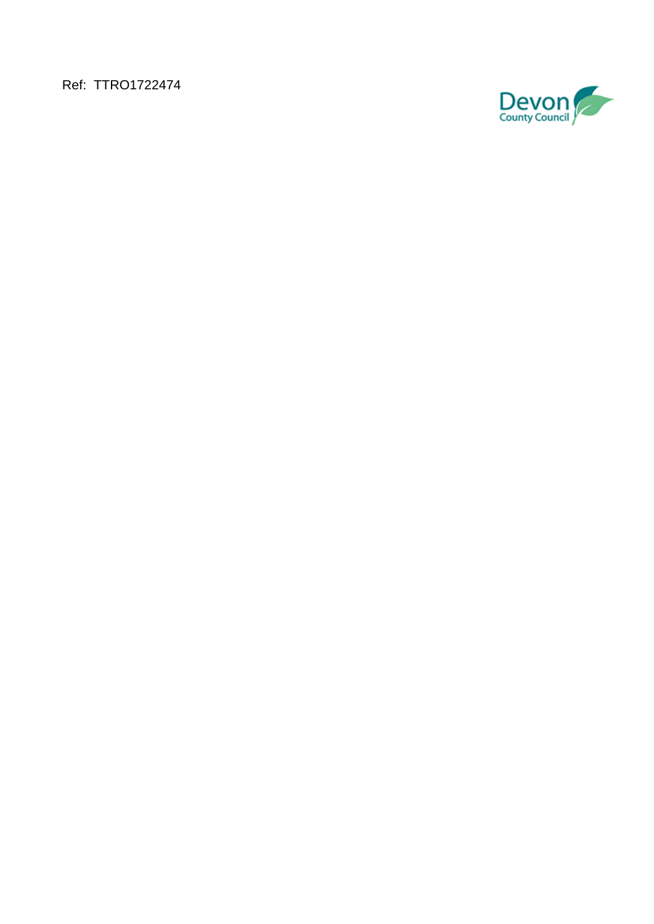Ref: TTRO1722474